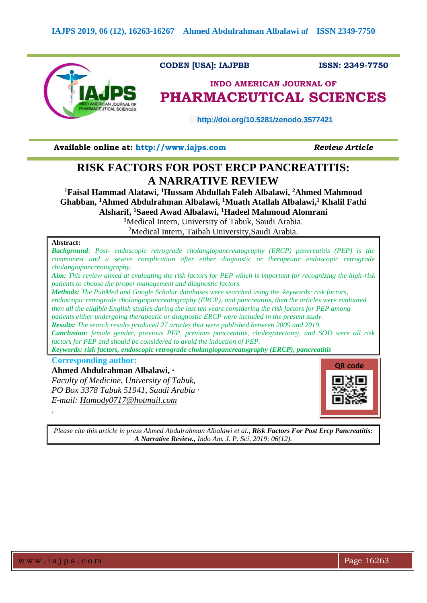

**CODEN [USA]: IAJPBB ISSN: 2349-7750** 

# **INDO AMERICAN JOURNAL OF PHARMACEUTICAL SCIENCES**

 **http://doi.org/10.5281/zenodo.3577421**

**Available online at: [http://www.iajps.com](http://www.iajps.com/)** *Review Article*

# **RISK FACTORS FOR POST ERCP PANCREATITIS: A NARRATIVE REVIEW**

**<sup>1</sup>Faisal Hammad Alatawi, <sup>1</sup>Hussam Abdullah Faleh Albalawi, <sup>2</sup>Ahmed Mahmoud Ghabban, <sup>1</sup>Ahmed Abdulrahman Albalawi, <sup>1</sup>Muath Atallah Albalawi, <sup>1</sup> Khalil Fathi Alsharif, <sup>1</sup>Saeed Awad Albalawi, <sup>1</sup>Hadeel Mahmoud Alomrani <sup>1</sup>**Medical Intern, University of Tabuk, Saudi Arabia.

<sup>2</sup>Medical Intern, Taibah University,Saudi Arabia.

## **Abstract:**

*Background: Post- endoscopic retrograde cholangiopancreatography (ERCP) pancreatitis (PEP) is the commonest and a severe complication after either diagnostic or therapeutic endoscopic retrograde cholangiopancreatography. Aim: This review aimed at evaluating the risk factors for PEP which is important for recognizing the high-risk patients to choose the proper management and diagnostic factors. Methods: The PubMed and Google Scholar databases were searched using the keywords: risk factors, endoscopic retrograde cholangiopancreatography (ERCP), and pancreatitis, then the articles were evaluated then all the eligible English studies during the last ten years considering the risk factors for PEP among patients either undergoing therapeutic or diagnostic ERCP were included in the present study. Results: The search results produced 27 articles that were published between 2009 and 2019. Conclusion: female gender, previous PEP, previous pancreatitis, cholesystectomy, and SOD were all risk factors for PEP and should be considered to avoid the induction of PEP. Keywords: risk factors, endoscopic retrograde cholangiopancreatography (ERCP), pancreatitis* **Corresponding author: Ahmed Abdulrahman Albalawi, · QR code**

*Faculty of Medicine, University of Tabuk, PO Box 3378 Tabuk 51941, Saudi Arabia · E-mail: [Hamody0717@hotmail.com](mailto:Hamody0717@hotmail.com)*



*Please cite this article in press Ahmed Abdulrahman Albalawi et al., Risk Factors For Post Ercp Pancreatitis: A Narrative Review., Indo Am. J. P. Sci, 2019; 06(12).*

*.*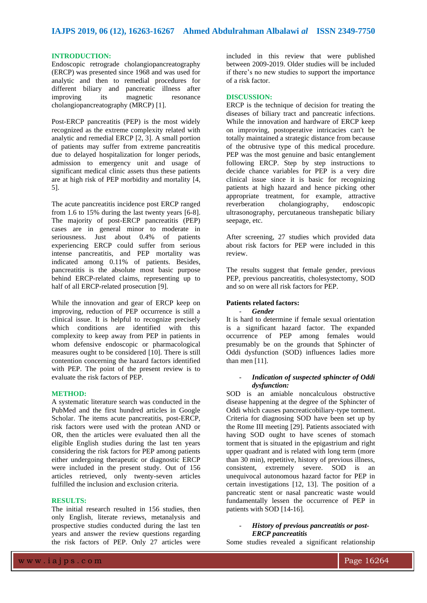#### **INTRODUCTION:**

Endoscopic retrograde cholangiopancreatography (ERCP) was presented since 1968 and was used for analytic and then to remedial procedures for different biliary and pancreatic illness after improving its magnetic resonance cholangiopancreatography (MRCP) [1].

Post-ERCP pancreatitis (PEP) is the most widely recognized as the extreme complexity related with analytic and remedial ERCP [2, 3]. A small portion of patients may suffer from extreme pancreatitis due to delayed hospitalization for longer periods, admission to emergency unit and usage of significant medical clinic assets thus these patients are at high risk of PEP morbidity and mortality [4, 5].

The acute pancreatitis incidence post ERCP ranged from 1.6 to 15% during the last twenty years [6-8]. The majority of post-ERCP pancreatitis (PEP) cases are in general minor to moderate in seriousness. Just about 0.4% of patients experiencing ERCP could suffer from serious intense pancreatitis, and PEP mortality was indicated among 0.11% of patients. Besides, pancreatitis is the absolute most basic purpose behind ERCP-related claims, representing up to half of all ERCP-related prosecution [9].

While the innovation and gear of ERCP keep on improving, reduction of PEP occurrence is still a clinical issue. It is helpful to recognize precisely which conditions are identified with this complexity to keep away from PEP in patients in whom defensive endoscopic or pharmacological measures ought to be considered [10]. There is still contention concerning the hazard factors identified with PEP. The point of the present review is to evaluate the risk factors of PEP.

#### **METHOD:**

A systematic literature search was conducted in the PubMed and the first hundred articles in Google Scholar. The items acute pancreatitis, post-ERCP, risk factors were used with the protean AND or OR, then the articles were evaluated then all the eligible English studies during the last ten years considering the risk factors for PEP among patients either undergoing therapeutic or diagnostic ERCP were included in the present study. Out of 156 articles retrieved, only twenty-seven articles fulfilled the inclusion and exclusion criteria.

## **RESULTS:**

The initial research resulted in 156 studies, then only English, literate reviews, metanalysis and prospective studies conducted during the last ten years and answer the review questions regarding the risk factors of PEP. Only 27 articles were included in this review that were published between 2009-2019. Older studies will be included if there's no new studies to support the importance of a risk factor.

#### **DISCUSSION:**

ERCP is the technique of decision for treating the diseases of biliary tract and pancreatic infections. While the innovation and hardware of ERCP keep on improving, postoperative intricacies can't be totally maintained a strategic distance from because of the obtrusive type of this medical procedure. PEP was the most genuine and basic entanglement following ERCP. Step by step instructions to decide chance variables for PEP is a very dire clinical issue since it is basic for recognizing patients at high hazard and hence picking other appropriate treatment, for example, attractive reverberation cholangiography, endoscopic ultrasonography, percutaneous transhepatic biliary seepage, etc.

After screening, 27 studies which provided data about risk factors for PEP were included in this review.

The results suggest that female gender, previous PEP, previous pancreatitis, cholesystectomy, SOD and so on were all risk factors for PEP.

## **Patients related factors:**

- *Gender* 

It is hard to determine if female sexual orientation is a significant hazard factor. The expanded occurrence of PEP among females would presumably be on the grounds that Sphincter of Oddi dysfunction (SOD) influences ladies more than men [11].

### - *Indication of suspected sphincter of Oddi dysfunction:*

SOD is an amiable noncalculous obstructive disease happening at the degree of the Sphincter of Oddi which causes pancreaticobiliary-type torment. Criteria for diagnosing SOD have been set up by the Rome III meeting [29]. Patients associated with having SOD ought to have scenes of stomach torment that is situated in the epigastrium and right upper quadrant and is related with long term (more than 30 min), repetitive, history of previous illness, consistent, extremely severe. SOD is an unequivocal autonomous hazard factor for PEP in certain investigations [12, 13]. The position of a pancreatic stent or nasal pancreatic waste would fundamentally lessen the occurrence of PEP in patients with SOD [14-16].

## - *History of previous pancreatitis or post-ERCP pancreatitis*

Some studies revealed a significant relationship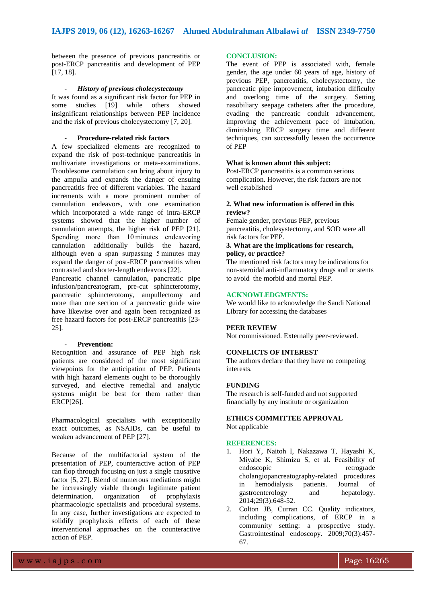between the presence of previous pancreatitis or post-ERCP pancreatitis and development of PEP [17, 18].

## - *History of previous cholecystectomy*

It was found as a significant risk factor for PEP in<br>some studies [19] while others showed while others showed insignificant relationships between PEP incidence and the risk of previous cholecystectomy [7, 20].

### - **Procedure-related risk factors**

A few specialized elements are recognized to expand the risk of post-technique pancreatitis in multivariate investigations or meta-examinations. Troublesome cannulation can bring about injury to the ampulla and expands the danger of ensuing pancreatitis free of different variables. The hazard increments with a more prominent number of cannulation endeavors, with one examination which incorporated a wide range of intra-ERCP systems showed that the higher number of cannulation attempts, the higher risk of PEP [21]. Spending more than 10 minutes endeavoring cannulation additionally builds the hazard, although even a span surpassing 5 minutes may expand the danger of post-ERCP pancreatitis when contrasted and shorter-length endeavors [22].

Pancreatic channel cannulation, pancreatic pipe infusion/pancreatogram, pre-cut sphincterotomy, pancreatic sphincterotomy, ampullectomy and more than one section of a pancreatic guide wire have likewise over and again been recognized as free hazard factors for post-ERCP pancreatitis [23- 25].

#### - **Prevention:**

Recognition and assurance of PEP high risk patients are considered of the most significant viewpoints for the anticipation of PEP. Patients with high hazard elements ought to be thoroughly surveyed, and elective remedial and analytic systems might be best for them rather than ERCP[26].

Pharmacological specialists with exceptionally exact outcomes, as NSAIDs, can be useful to weaken advancement of PEP [27].

Because of the multifactorial system of the presentation of PEP, counteractive action of PEP can flop through focusing on just a single causative factor [5, 27]. Blend of numerous mediations might be increasingly viable through legitimate patient determination, organization of prophylaxis pharmacologic specialists and procedural systems. In any case, further investigations are expected to solidify prophylaxis effects of each of these interventional approaches on the counteractive action of PEP.

## **CONCLUSION:**

The event of PEP is associated with, female gender, the age under 60 years of age, history of previous PEP, pancreatitis, cholecystectomy, the pancreatic pipe improvement, intubation difficulty and overlong time of the surgery. Setting nasobiliary seepage catheters after the procedure, evading the pancreatic conduit advancement, improving the achievement pace of intubation, diminishing ERCP surgery time and different techniques, can successfully lessen the occurrence of PEP

## **What is known about this subject:**

Post-ERCP pancreatitis is a common serious complication. However, the risk factors are not well established

## **2. What new information is offered in this review?**

Female gender, previous PEP, previous pancreatitis, cholesystectomy, and SOD were all risk factors for PEP.

#### **3. What are the implications for research, policy, or practice?**

The mentioned risk factors may be indications for non-steroidal anti-inflammatory drugs and or stents to avoid the morbid and mortal PEP.

### **ACKNOWLEDGMENTS:**

We would like to acknowledge the Saudi National Library for accessing the databases

#### **PEER REVIEW**

Not commissioned. Externally peer-reviewed.

# **CONFLICTS OF INTEREST**

The authors declare that they have no competing interests.

#### **FUNDING**

The research is self-funded and not supported financially by any institute or organization

## **ETHICS COMMITTEE APPROVAL** Not applicable

**REFERENCES:**

- 1. Hori Y, Naitoh I, Nakazawa T, Hayashi K, Miyabe K, Shimizu S, et al. Feasibility of endoscopic retrograde cholangiopancreatography-related procedures in hemodialysis patients. Journal of gastroenterology and hepatology. 2014;29(3):648-52.
- 2. Colton JB, Curran CC. Quality indicators, including complications, of ERCP in a community setting: a prospective study. Gastrointestinal endoscopy. 2009;70(3):457- 67.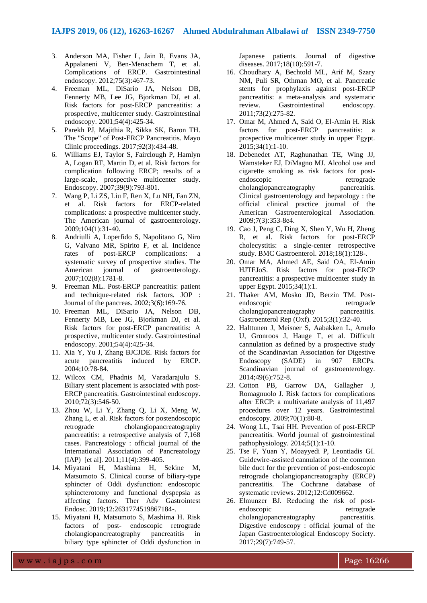- 3. Anderson MA, Fisher L, Jain R, Evans JA, Appalaneni V, Ben-Menachem T, et al. Complications of ERCP. Gastrointestinal endoscopy. 2012;75(3):467-73.
- 4. Freeman ML, DiSario JA, Nelson DB, Fennerty MB, Lee JG, Bjorkman DJ, et al. Risk factors for post-ERCP pancreatitis: a prospective, multicenter study. Gastrointestinal endoscopy. 2001;54(4):425-34.
- 5. Parekh PJ, Majithia R, Sikka SK, Baron TH. The "Scope" of Post-ERCP Pancreatitis. Mayo Clinic proceedings. 2017;92(3):434-48.
- 6. Williams EJ, Taylor S, Fairclough P, Hamlyn A, Logan RF, Martin D, et al. Risk factors for complication following ERCP; results of a large-scale, prospective multicenter study. Endoscopy. 2007;39(9):793-801.
- 7. Wang P, Li ZS, Liu F, Ren X, Lu NH, Fan ZN, et al. Risk factors for ERCP-related complications: a prospective multicenter study. The American journal of gastroenterology. 2009;104(1):31-40.
- 8. Andriulli A, Loperfido S, Napolitano G, Niro G, Valvano MR, Spirito F, et al. Incidence rates of post-ERCP complications: a systematic survey of prospective studies. The American journal of gastroenterology. 2007;102(8):1781-8.
- 9. Freeman ML. Post-ERCP pancreatitis: patient and technique-related risk factors. JOP : Journal of the pancreas. 2002;3(6):169-76.
- 10. Freeman ML, DiSario JA, Nelson DB, Fennerty MB, Lee JG, Bjorkman DJ, et al. Risk factors for post-ERCP pancreatitis: A prospective, multicenter study. Gastrointestinal endoscopy. 2001;54(4):425-34.
- 11. Xia Y, Yu J, Zhang BJCJDE. Risk factors for acute pancreatitis induced by ERCP. 2004;10:78-84.
- 12. Wilcox CM, Phadnis M, Varadarajulu S. Biliary stent placement is associated with post-ERCP pancreatitis. Gastrointestinal endoscopy. 2010;72(3):546-50.
- 13. Zhou W, Li Y, Zhang Q, Li X, Meng W, Zhang L, et al. Risk factors for postendoscopic retrograde cholangiopancreatography pancreatitis: a retrospective analysis of 7,168 cases. Pancreatology : official journal of the International Association of Pancreatology (IAP) [et al]. 2011;11(4):399-405.
- 14. Miyatani H, Mashima H, Sekine M, Matsumoto S. Clinical course of biliary-type sphincter of Oddi dysfunction: endoscopic sphincterotomy and functional dyspepsia as affecting factors. Ther Adv Gastrointest Endosc. 2019;12:2631774519867184-.
- 15. Miyatani H, Matsumoto S, Mashima H. Risk factors of post- endoscopic retrograde cholangiopancreatography pancreatitis in biliary type sphincter of Oddi dysfunction in

Japanese patients. Journal of digestive diseases. 2017;18(10):591-7.

- 16. Choudhary A, Bechtold ML, Arif M, Szary NM, Puli SR, Othman MO, et al. Pancreatic stents for prophylaxis against post-ERCP pancreatitis: a meta-analysis and systematic review. Gastrointestinal endoscopy. 2011;73(2):275-82.
- 17. Omar M, Ahmed A, Said O, El-Amin H. Risk factors for post-ERCP pancreatitis: a prospective multicenter study in upper Egypt. 2015;34(1):1-10.
- 18. Debenedet AT, Raghunathan TE, Wing JJ, Wamsteker EJ, DiMagno MJ. Alcohol use and cigarette smoking as risk factors for postendoscopic retrograde cholangiopancreatography pancreatitis. Clinical gastroenterology and hepatology : the official clinical practice journal of the American Gastroenterological Association. 2009;7(3):353-8e4.
- 19. Cao J, Peng C, Ding X, Shen Y, Wu H, Zheng R, et al. Risk factors for post-ERCP cholecystitis: a single-center retrospective study. BMC Gastroenterol. 2018;18(1):128-.
- 20. Omar MA, Ahmed AE, Said OA, El-Amin HJTEJoS. Risk factors for post-ERCP pancreatitis: a prospective multicenter study in upper Egypt. 2015;34(1):1.
- 21. Thaker AM, Mosko JD, Berzin TM. Postendoscopic retrograde cholangiopancreatography pancreatitis. Gastroenterol Rep (Oxf). 2015;3(1):32-40.
- 22. Halttunen J, Meisner S, Aabakken L, Arnelo U, Gronroos J, Hauge T, et al. Difficult cannulation as defined by a prospective study of the Scandinavian Association for Digestive Endoscopy (SADE) in 907 ERCPs. Scandinavian journal of gastroenterology. 2014;49(6):752-8.
- 23. Cotton PB, Garrow DA, Gallagher J, Romagnuolo J. Risk factors for complications after ERCP: a multivariate analysis of 11,497 procedures over 12 years. Gastrointestinal endoscopy. 2009;70(1):80-8.
- 24. Wong LL, Tsai HH. Prevention of post-ERCP pancreatitis. World journal of gastrointestinal pathophysiology. 2014;5(1):1-10.
- 25. Tse F, Yuan Y, Moayyedi P, Leontiadis GI. Guidewire-assisted cannulation of the common bile duct for the prevention of post-endoscopic retrograde cholangiopancreatography (ERCP) pancreatitis. The Cochrane database of systematic reviews. 2012;12:Cd009662.
- 26. Elmunzer BJ. Reducing the risk of postendoscopic retrograde<br>cholangiopancreatography pancreatitis. cholangiopancreatography Digestive endoscopy : official journal of the Japan Gastroenterological Endoscopy Society. 2017;29(7):749-57.